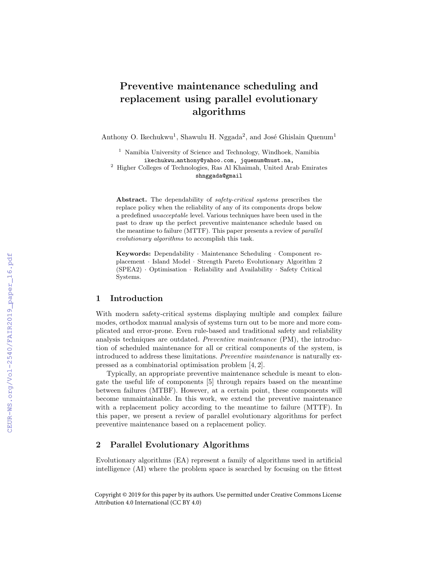# Preventive maintenance scheduling and replacement using parallel evolutionary algorithms

Anthony O. Ikechukwu<sup>1</sup>, Shawulu H. Nggada<sup>2</sup>, and José Ghislain Quenum<sup>1</sup>

<sup>1</sup> Namibia University of Science and Technology, Windhoek, Namibia ikechukwu anthony@yahoo.com, jquenum@nust.na,  $^2\,$  Higher Colleges of Technologies, Ras Al Khaimah, United Arab Emirates

shnggada@gmail

Abstract. The dependability of *safety-critical systems* prescribes the replace policy when the reliability of any of its components drops below a predefined unacceptable level. Various techniques have been used in the past to draw up the perfect preventive maintenance schedule based on the meantime to failure (MTTF). This paper presents a review of parallel evolutionary algorithms to accomplish this task.

Keywords: Dependability · Maintenance Scheduling · Component replacement · Island Model · Strength Pareto Evolutionary Algorithm 2 (SPEA2) · Optimisation · Reliability and Availability · Safety Critical Systems.

### 1 Introduction

With modern safety-critical systems displaying multiple and complex failure modes, orthodox manual analysis of systems turn out to be more and more complicated and error-prone. Even rule-based and traditional safety and reliability analysis techniques are outdated. Preventive maintenance (PM), the introduction of scheduled maintenance for all or critical components of the system, is introduced to address these limitations. Preventive maintenance is naturally expressed as a combinatorial optimisation problem [4, 2].

Typically, an appropriate preventive maintenance schedule is meant to elongate the useful life of components [5] through repairs based on the meantime between failures (MTBF). However, at a certain point, these components will become unmaintainable. In this work, we extend the preventive maintenance with a replacement policy according to the meantime to failure (MTTF). In this paper, we present a review of parallel evolutionary algorithms for perfect preventive maintenance based on a replacement policy.

## 2 Parallel Evolutionary Algorithms

Evolutionary algorithms (EA) represent a family of algorithms used in artificial intelligence (AI) where the problem space is searched by focusing on the fittest

Copyright © 2019 for this paper by its authors. Use permitted under Creative Commons License Attribution 4.0 International (CC BY 4.0)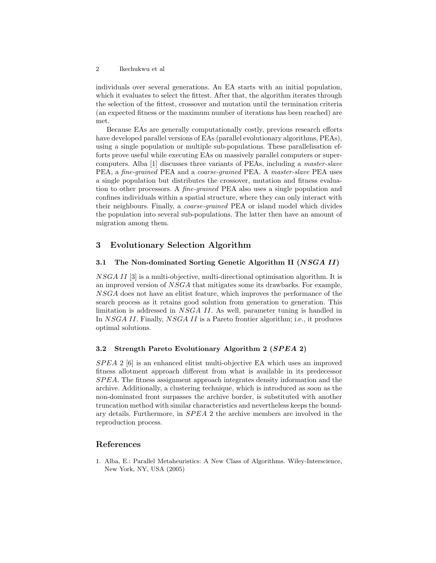individuals over several generations. An EA starts with an initial population, which it evaluates to select the fittest. After that, the algorithm iterates through the selection of the fittest, crossover and mutation until the termination criteria (an expected fitness or the maximum number of iterations has been reached) are met.

Because EAs are generally computationally costly, previous research efforts have developed parallel versions of EAs (parallel evolutionary algorithms, PEAs), using a single population or multiple sub-populations. These parallelisation efforts prove useful while executing EAs on massively parallel computers or supercomputers. Alba [1] discusses three variants of PEAs, including a master-slave PEA, a fine-grained PEA and a coarse-grained PEA. A master-slave PEA uses a single population but distributes the crossover, mutation and fitness evaluation to other processors. A fine-grained PEA also uses a single population and confines individuals within a spatial structure, where they can only interact with their neighbours. Finally, a coarse-grained PEA or island model which divides the population into several sub-populations. The latter then have an amount of migration among them.

#### 3 Evolutionary Selection Algorithm

#### 3.1 The Non-dominated Sorting Genetic Algorithm II (NSGA II)

NSGA II [3] is a multi-objective, multi-directional optimisation algorithm. It is an improved version of NSGA that mitigates some its drawbacks. For example, NSGA does not have an elitist feature, which improves the performance of the search process as it retains good solution from generation to generation. This limitation is addressed in NSGA II. As well, parameter tuning is handled in In NSGA II. Finally, NSGA II is a Pareto frontier algorithm; i.e., it produces optimal solutions.

#### 3.2 Strength Pareto Evolutionary Algorithm 2 (SPEA 2)

 $SPEA$  2 [6] is an enhanced elitist multi-objective EA which uses an improved fitness allotment approach different from what is available in its predecessor SP EA. The fitness assignment approach integrates density information and the archive. Additionally, a clustering technique, which is introduced as soon as the non-dominated front surpasses the archive border, is substituted with another truncation method with similar characteristics and nevertheless keeps the boundary details. Furthermore, in SPEA 2 the archive members are involved in the reproduction process.

#### References

1. Alba, E.: Parallel Metaheuristics: A New Class of Algorithms. Wiley-Interscience, New York, NY, USA (2005)